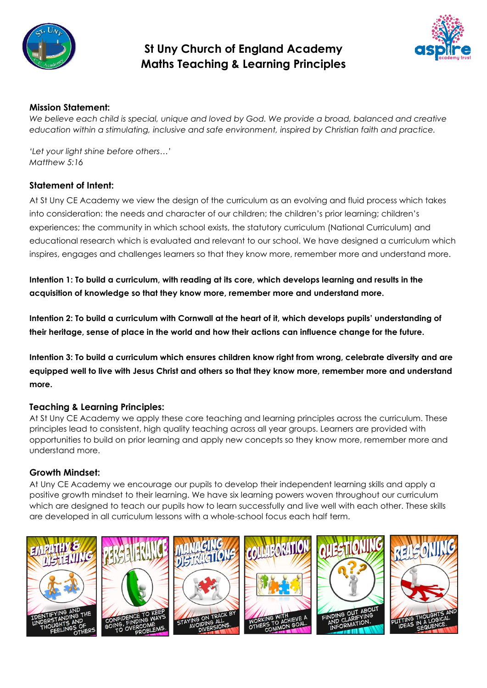

# **St Uny Church of England Academy Maths Teaching & Learning Principles**



# **Mission Statement:**

*We believe each child is special, unique and loved by God. We provide a broad, balanced and creative education within a stimulating, inclusive and safe environment, inspired by Christian faith and practice.* 

*'Let your light shine before others…' Matthew 5:16*

## **Statement of Intent:**

At St Uny CE Academy we view the design of the curriculum as an evolving and fluid process which takes into consideration: the needs and character of our children; the children's prior learning; children's experiences; the community in which school exists, the statutory curriculum (National Curriculum) and educational research which is evaluated and relevant to our school. We have designed a curriculum which inspires, engages and challenges learners so that they know more, remember more and understand more.

Intention 1: To build a curriculum, with reading at its core, which develops learning and results in the **acquisition of knowledge so that they know more, remember more and understand more.**

**Intention 2: To build a curriculum with Cornwall at the heart of it, which develops pupils' understanding of their heritage, sense of place in the world and how their actions can influence change for the future.**

Intention 3: To build a curriculum which ensures children know riaht from wrona, celebrate diversity and are equipped well to live with Jesus Christ and others so that they know more, remember more and understand **more.**

# **Teaching & Learning Principles:**

At St Uny CE Academy we apply these core teaching and learning principles across the curriculum. These principles lead to consistent, high quality teaching across all year groups. Learners are provided with opportunities to build on prior learning and apply new concepts so they know more, remember more and understand more.

#### **Growth Mindset:**

At Uny CE Academy we encourage our pupils to develop their independent learning skills and apply a positive growth mindset to their learning. We have six learning powers woven throughout our curriculum which are designed to teach our pupils how to learn successfully and live well with each other. These skills are developed in all curriculum lessons with a whole-school focus each half term.